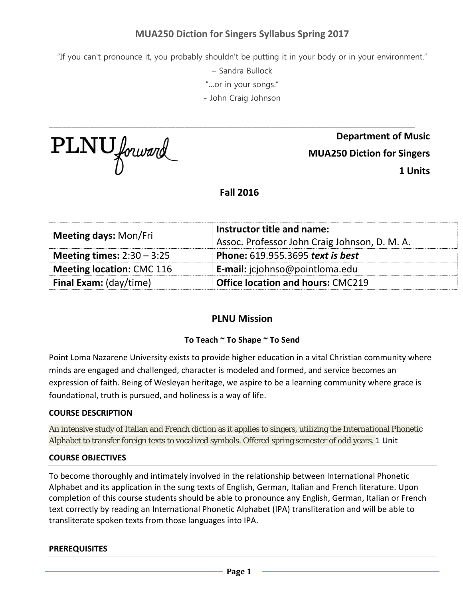# **MUA250 Diction for Singers Syllabus Spring 2017**

"If you can't pronounce it, you probably shouldn't be putting it in your body or in your environment."

– Sandra Bullock

"…or in your songs."

- John Craig Johnson

\_\_\_\_\_\_\_\_\_\_\_\_\_\_\_\_\_\_\_\_\_\_\_\_\_\_\_\_\_\_\_\_\_\_\_\_\_\_\_\_\_\_\_\_\_\_\_\_\_\_\_\_\_\_\_\_\_\_\_\_\_\_\_\_\_\_\_\_\_\_\_\_\_\_\_\_\_\_\_\_\_

PLNU forward

**Department of Music MUA250 Diction for Singers 1 Units**

**Fall 2016**

| <b>Meeting days: Mon/Fri</b>  | Instructor title and name:<br>Assoc. Professor John Craig Johnson, D. M. A. |  |
|-------------------------------|-----------------------------------------------------------------------------|--|
| Meeting times: $2:30 - 3:25$  | Phone: 619.955.3695 text is best                                            |  |
| Meeting location: CMC 116     | E-mail: jcjohnso@pointloma.edu                                              |  |
| <b>Final Exam:</b> (day/time) | <b>Office location and hours: CMC219</b>                                    |  |

# **PLNU Mission**

# **To Teach ~ To Shape ~ To Send**

Point Loma Nazarene University exists to provide higher education in a vital Christian community where minds are engaged and challenged, character is modeled and formed, and service becomes an expression of faith. Being of Wesleyan heritage, we aspire to be a learning community where grace is foundational, truth is pursued, and holiness is a way of life.

#### **COURSE DESCRIPTION**

An intensive study of Italian and French diction as it applies to singers, utilizing the International Phonetic Alphabet to transfer foreign texts to vocalized symbols. Offered spring semester of odd years. 1 Unit

#### **COURSE OBJECTIVES**

To become thoroughly and intimately involved in the relationship between International Phonetic Alphabet and its application in the sung texts of English, German, Italian and French literature. Upon completion of this course students should be able to pronounce any English, German, Italian or French text correctly by reading an International Phonetic Alphabet (IPA) transliteration and will be able to transliterate spoken texts from those languages into IPA.

#### **PREREQUISITES**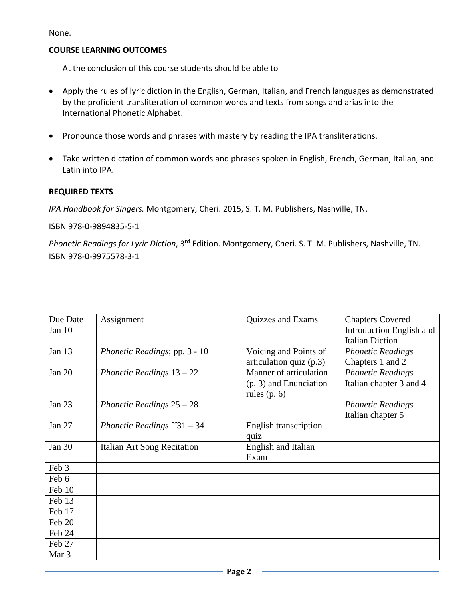None.

# **COURSE LEARNING OUTCOMES**

At the conclusion of this course students should be able to

- Apply the rules of lyric diction in the English, German, Italian, and French languages as demonstrated by the proficient transliteration of common words and texts from songs and arias into the International Phonetic Alphabet.
- Pronounce those words and phrases with mastery by reading the IPA transliterations.
- Take written dictation of common words and phrases spoken in English, French, German, Italian, and Latin into IPA.

# **REQUIRED TEXTS**

*IPA Handbook for Singers.* Montgomery, Cheri. 2015, S. T. M. Publishers, Nashville, TN.

ISBN 978-0-9894835-5-1

*Phonetic Readings for Lyric Diction*, 3rd Edition. Montgomery, Cheri. S. T. M. Publishers, Nashville, TN. ISBN 978-0-9975578-3-1

| Due Date         | Assignment                          | Quizzes and Exams         | <b>Chapters Covered</b>  |
|------------------|-------------------------------------|---------------------------|--------------------------|
| Jan 10           |                                     |                           | Introduction English and |
|                  |                                     |                           | <b>Italian Diction</b>   |
| Jan 13           | Phonetic Readings; pp. 3 - 10       | Voicing and Points of     | <b>Phonetic Readings</b> |
|                  |                                     | articulation quiz $(p.3)$ | Chapters 1 and 2         |
| <b>Jan 20</b>    | Phonetic Readings $13-22$           | Manner of articulation    | <b>Phonetic Readings</b> |
|                  |                                     | $(p. 3)$ and Enunciation  | Italian chapter 3 and 4  |
|                  |                                     | rules $(p. 6)$            |                          |
| Jan 23           | Phonetic Readings $25 - 28$         |                           | <b>Phonetic Readings</b> |
|                  |                                     |                           | Italian chapter 5        |
| Jan 27           | Phonetic Readings $\degree$ 31 - 34 | English transcription     |                          |
|                  |                                     | quiz                      |                          |
| Jan 30           | Italian Art Song Recitation         | English and Italian       |                          |
|                  |                                     | Exam                      |                          |
| Feb 3            |                                     |                           |                          |
| Feb 6            |                                     |                           |                          |
| Feb 10           |                                     |                           |                          |
| Feb 13           |                                     |                           |                          |
| Feb 17           |                                     |                           |                          |
| Feb 20           |                                     |                           |                          |
| Feb 24           |                                     |                           |                          |
| Feb 27           |                                     |                           |                          |
| Mar <sub>3</sub> |                                     |                           |                          |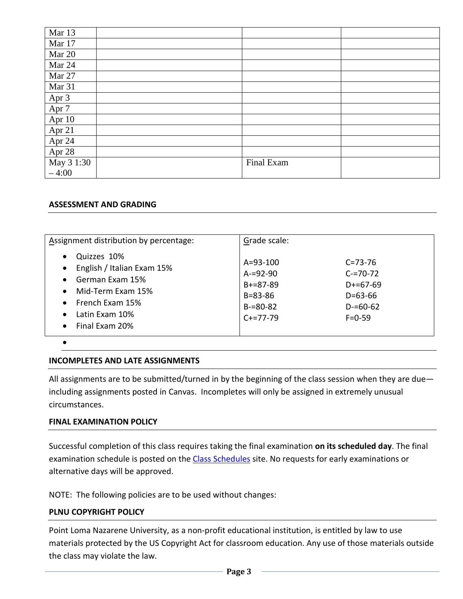| Mar 13     |            |  |
|------------|------------|--|
| Mar 17     |            |  |
| Mar 20     |            |  |
| Mar 24     |            |  |
| Mar 27     |            |  |
| Mar 31     |            |  |
| Apr 3      |            |  |
| Apr 7      |            |  |
| Apr 10     |            |  |
| Apr 21     |            |  |
| Apr 24     |            |  |
| Apr 28     |            |  |
| May 3 1:30 | Final Exam |  |
| $-4:00$    |            |  |

#### **ASSESSMENT AND GRADING**

| Assignment distribution by percentage:                                                                                                                                                                                              | Grade scale:                                                                                          |                                                                                                |
|-------------------------------------------------------------------------------------------------------------------------------------------------------------------------------------------------------------------------------------|-------------------------------------------------------------------------------------------------------|------------------------------------------------------------------------------------------------|
| Quizzes 10%<br>$\bullet$<br>English / Italian Exam 15%<br>$\bullet$<br>German Exam 15%<br>$\bullet$<br>Mid-Term Exam 15%<br>$\bullet$<br>French Exam 15%<br>$\bullet$<br>Latin Exam 10%<br>$\bullet$<br>Final Exam 20%<br>$\bullet$ | $A = 93 - 100$<br>$A = 92 - 90$<br>$B + = 87 - 89$<br>$B = 83 - 86$<br>$B = 80 - 82$<br>$C + 27 - 79$ | $C = 73 - 76$<br>$C = 70 - 72$<br>$D+ = 67-69$<br>$D = 63 - 66$<br>$D = 60 - 62$<br>$F = 0.59$ |

•

#### **INCOMPLETES AND LATE ASSIGNMENTS**

All assignments are to be submitted/turned in by the beginning of the class session when they are due including assignments posted in Canvas. Incompletes will only be assigned in extremely unusual circumstances.

#### **FINAL EXAMINATION POLICY**

Successful completion of this class requires taking the final examination **on its scheduled day**. The final examination schedule is posted on the [Class Schedules](http://www.pointloma.edu/experience/academics/class-schedules) site. No requests for early examinations or alternative days will be approved.

NOTE: The following policies are to be used without changes:

#### **PLNU COPYRIGHT POLICY**

Point Loma Nazarene University, as a non-profit educational institution, is entitled by law to use materials protected by the US Copyright Act for classroom education. Any use of those materials outside the class may violate the law.